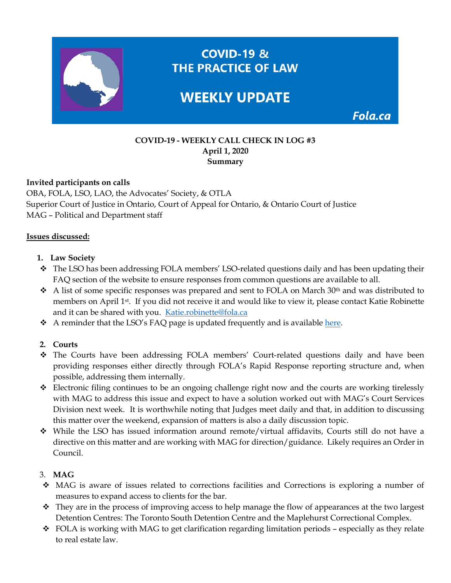

## **COVID-19 - WEEKLY CALL CHECK IN LOG #3 April 1, 2020 Summary**

## **Invited participants on calls**

OBA, FOLA, LSO, LAO, the Advocates' Society, & OTLA Superior Court of Justice in Ontario, Court of Appeal for Ontario, & Ontario Court of Justice MAG – Political and Department staff

## **Issues discussed:**

- **1. Law Society**
- The LSO has been addressing FOLA members' LSO-related questions daily and has been updating their FAQ section of the website to ensure responses from common questions are available to all.
- $\bullet$  A list of some specific responses was prepared and sent to FOLA on March 30<sup>th</sup> and was distributed to members on April 1st. If you did not receive it and would like to view it, please contact Katie Robinette and it can be shared with you. [Katie.robinette@fola.ca](mailto:Katie.robinette@fola.ca)
- A reminder that the LSO's FAQ page is updated frequently and is available [here.](https://lso.ca/news-events/news/corporate-statement-re-covid-19)

# **2. Courts**

- The Courts have been addressing FOLA members' Court-related questions daily and have been providing responses either directly through FOLA's Rapid Response reporting structure and, when possible, addressing them internally.
- Electronic filing continues to be an ongoing challenge right now and the courts are working tirelessly with MAG to address this issue and expect to have a solution worked out with MAG's Court Services Division next week. It is worthwhile noting that Judges meet daily and that, in addition to discussing this matter over the weekend, expansion of matters is also a daily discussion topic.
- While the LSO has issued information around remote/virtual affidavits, Courts still do not have a directive on this matter and are working with MAG for direction/guidance. Likely requires an Order in Council.

# 3. **MAG**

- MAG is aware of issues related to corrections facilities and Corrections is exploring a number of measures to expand access to clients for the bar.
- $\hat{\cdot}$  They are in the process of improving access to help manage the flow of appearances at the two largest Detention Centres: The Toronto South Detention Centre and the Maplehurst Correctional Complex.
- $\div$  FOLA is working with MAG to get clarification regarding limitation periods especially as they relate to real estate law.